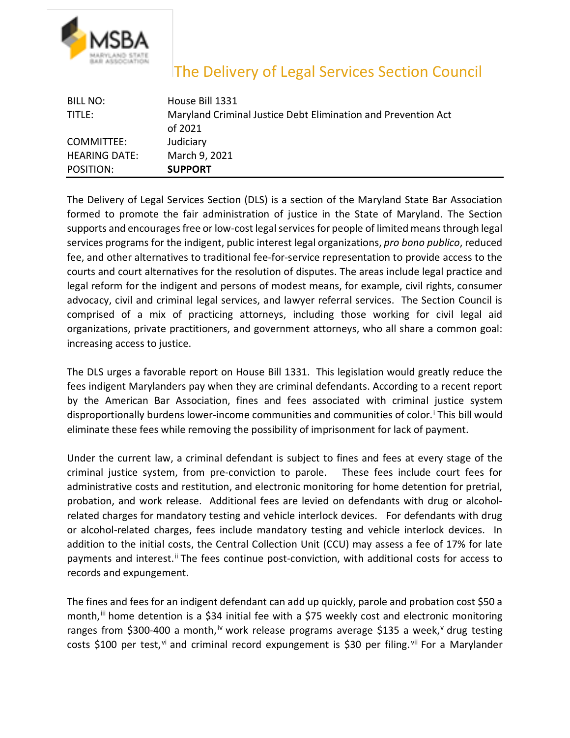

## The Delivery of Legal Services Section Council

| BILL NO:             | House Bill 1331                                                          |
|----------------------|--------------------------------------------------------------------------|
| TITLE:               | Maryland Criminal Justice Debt Elimination and Prevention Act<br>of 2021 |
| COMMITTEE:           | Judiciary                                                                |
| <b>HEARING DATE:</b> | March 9, 2021                                                            |
| POSITION:            | <b>SUPPORT</b>                                                           |

The Delivery of Legal Services Section (DLS) is a section of the Maryland State Bar Association formed to promote the fair administration of justice in the State of Maryland. The Section supports and encourages free or low-cost legal services for people of limited means through legal services programs for the indigent, public interest legal organizations, *pro bono publico*, reduced fee, and other alternatives to traditional fee-for-service representation to provide access to the courts and court alternatives for the resolution of disputes. The areas include legal practice and legal reform for the indigent and persons of modest means, for example, civil rights, consumer advocacy, civil and criminal legal services, and lawyer referral services. The Section Council is comprised of a mix of practicing attorneys, including those working for civil legal aid organizations, private practitioners, and government attorneys, who all share a common goal: increasing access to justice.

The DLS urges a favorable report on House Bill 1331. This legislation would greatly reduce the fees indigent Marylanders pay when they are criminal defendants. According to a recent report by the American Bar Association, fines and fees associated with criminal justice system d[i](#page-1-0)sproportionally burdens lower-income communities and communities of color.<sup>i</sup> This bill would eliminate these fees while removing the possibility of imprisonment for lack of payment.

Under the current law, a criminal defendant is subject to fines and fees at every stage of the criminal justice system, from pre-conviction to parole. These fees include court fees for administrative costs and restitution, and electronic monitoring for home detention for pretrial, probation, and work release. Additional fees are levied on defendants with drug or alcoholrelated charges for mandatory testing and vehicle interlock devices. For defendants with drug or alcohol-related charges, fees include mandatory testing and vehicle interlock devices. In addition to the initial costs, the Central Collection Unit (CCU) may assess a fee of 17% for late payments and interest.<sup>[ii](#page-1-1)</sup> The fees continue post-conviction, with additional costs for access to records and expungement.

The fines and fees for an indigent defendant can add up quickly, parole and probation cost \$50 a month,<sup>[iii](#page-1-2)</sup> home detention is a \$34 initial fee with a \$75 weekly cost and electronic monitoring ranges from \$300-400 a month,<sup>[iv](#page-1-3)</sup> work release programs a[v](#page-1-4)erage \$135 a week,<sup>v</sup> drug testing costs \$100 per test,<sup>[vi](#page-1-5)</sup> and criminal record expungement is \$30 per filing.<sup>[vii](#page-1-6)</sup> For a Marylander